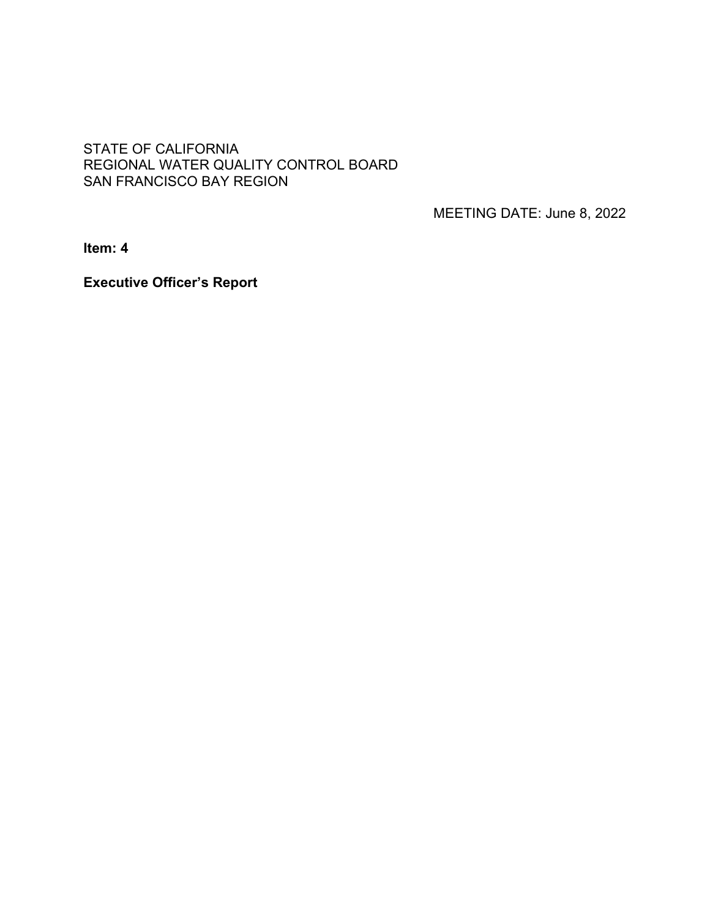### STATE OF CALIFORNIA REGIONAL WATER QUALITY CONTROL BOARD SAN FRANCISCO BAY REGION

MEETING DATE: June 8, 2022

**Item: 4**

**Executive Officer's Report**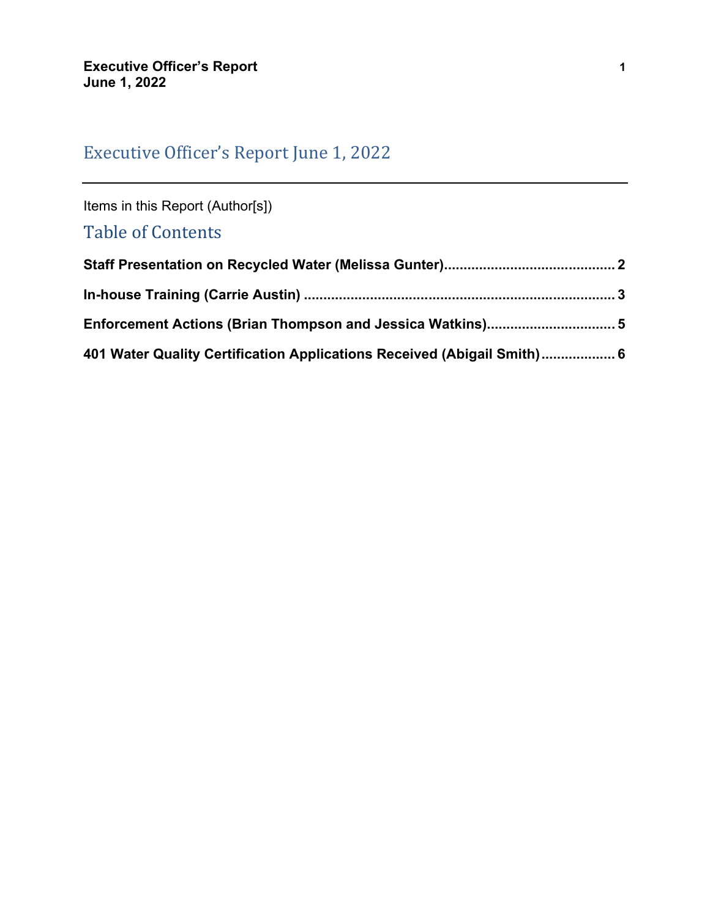# Executive Officer's Report June 1, 2022

Items in this Report (Author[s])

## Table of Contents

| 401 Water Quality Certification Applications Received (Abigail Smith) 6 |  |
|-------------------------------------------------------------------------|--|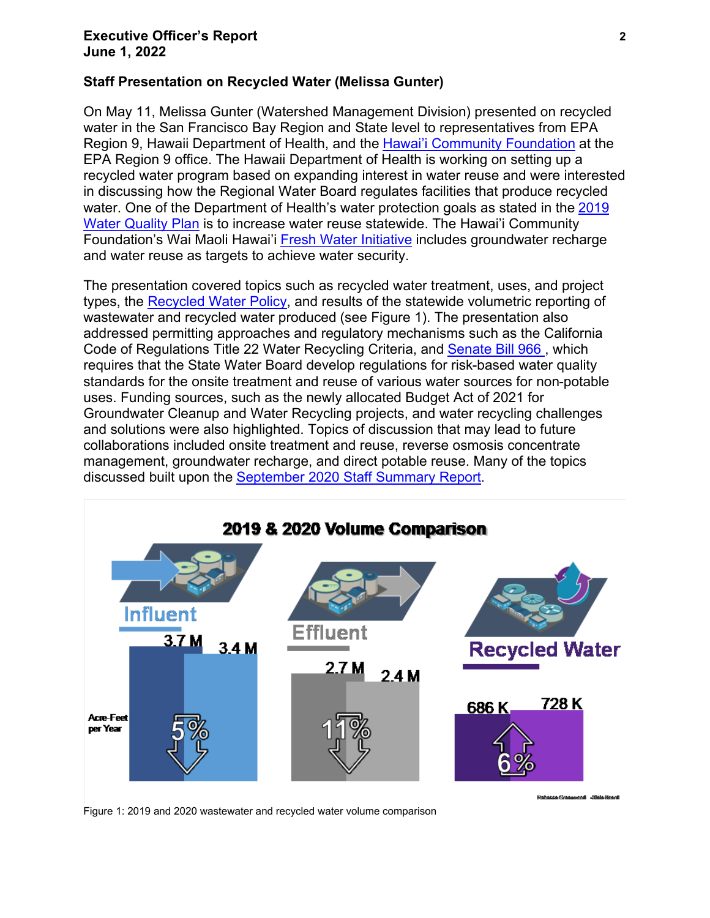#### **Executive Officer's Report 2 June 1, 2022**

#### <span id="page-2-0"></span>**Staff Presentation on Recycled Water (Melissa Gunter)**

On May 11, Melissa Gunter (Watershed Management Division) presented on recycled water in the San Francisco Bay Region and State level to representatives from EPA Region 9, Hawaii Department of Health, and the [Hawai'i Community Foundation](https://www.hawaiicommunityfoundation.org/strengthening/fresh-water) at the EPA Region 9 office. The Hawaii Department of Health is working on setting up a recycled water program based on expanding interest in water reuse and were interested in discussing how the Regional Water Board regulates facilities that produce recycled water. One of the Department of Health's water protection goals as stated in the 2019 [Water Quality Plan](https://health.hawaii.gov/water/files/2019/03/FINAL-DOH-Water-Quality-Plan-2019.pdf) is to increase water reuse statewide. The Hawai'i Community Foundation's Wai Maoli Hawai'i [Fresh Water Initiative](https://issuu.com/hcfhawaii/docs/06_hcf_hawaiifreshwaterinitiativereport2021_1_?fr=sODMyMDIwODc4Mjk) includes groundwater recharge and water reuse as targets to achieve water security.

The presentation covered topics such as recycled water treatment, uses, and project types, the [Recycled Water Policy](https://www.waterboards.ca.gov/board_decisions/adopted_orders/resolutions/2018/121118_7_final_amendment_oal.pdf), and results of the statewide volumetric reporting of wastewater and recycled water produced (see Figure 1). The presentation also addressed permitting approaches and regulatory mechanisms such as the California Code of Regulations Title 22 Water Recycling Criteria, and Senate Bill 966 , which requires that the State Water Board develop regulations for risk-based water quality standards for the onsite treatment and reuse of various water sources for non-potable uses. Funding sources, such as the newly allocated Budget Act of 2021 for Groundwater Cleanup and Water Recycling projects, and water recycling challenges and solutions were also highlighted. Topics of discussion that may lead to future collaborations included onsite treatment and reuse, reverse osmosis concentrate management, groundwater recharge, and direct potable reuse. Many of the topics discussed built upon the [September 2020 Staff Summary Report.](https://www.waterboards.ca.gov/rwqcb2/board_info/agendas/2020/September/7_ssr.pdf)



Figure 1: 2019 and 2020 wastewater and recycled water volume comparison

bacca Grasur and -Shiel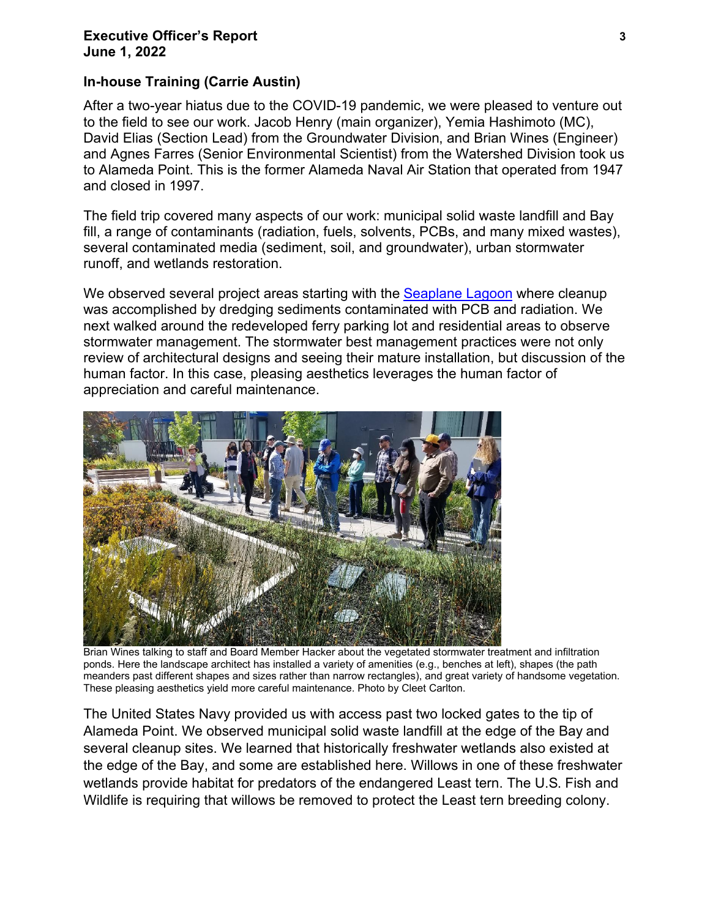#### **Executive Officer's Report 3 June 1, 2022**

### <span id="page-3-0"></span>**In-house Training (Carrie Austin)**

After a two-year hiatus due to the COVID-19 pandemic, we were pleased to venture out to the field to see our work. Jacob Henry (main organizer), Yemia Hashimoto (MC), David Elias (Section Lead) from the Groundwater Division, and Brian Wines (Engineer) and Agnes Farres (Senior Environmental Scientist) from the Watershed Division took us to Alameda Point. This is the former Alameda Naval Air Station that operated from 1947 and closed in 1997.

The field trip covered many aspects of our work: municipal solid waste landfill and Bay fill, a range of contaminants (radiation, fuels, solvents, PCBs, and many mixed wastes), several contaminated media (sediment, soil, and groundwater), urban stormwater runoff, and wetlands restoration.

We observed several project areas starting with the Seaplane Lagoon where cleanup was accomplished by dredging sediments contaminated with PCB and radiation. We next walked around the redeveloped ferry parking lot and residential areas to observe stormwater management. The stormwater best management practices were not only review of architectural designs and seeing their mature installation, but discussion of the human factor. In this case, pleasing aesthetics leverages the human factor of appreciation and careful maintenance.



Brian Wines talking to staff and Board Member Hacker about the vegetated stormwater treatment and infiltration ponds. Here the landscape architect has installed a variety of amenities (e.g., benches at left), shapes (the path meanders past different shapes and sizes rather than narrow rectangles), and great variety of handsome vegetation. These pleasing aesthetics yield more careful maintenance. Photo by Cleet Carlton.

The United States Navy provided us with access past two locked gates to the tip of Alameda Point. We observed municipal solid waste landfill at the edge of the Bay and several cleanup sites. We learned that historically freshwater wetlands also existed at the edge of the Bay, and some are established here. Willows in one of these freshwater wetlands provide habitat for predators of the endangered Least tern. The U.S. Fish and Wildlife is requiring that willows be removed to protect the Least tern breeding colony.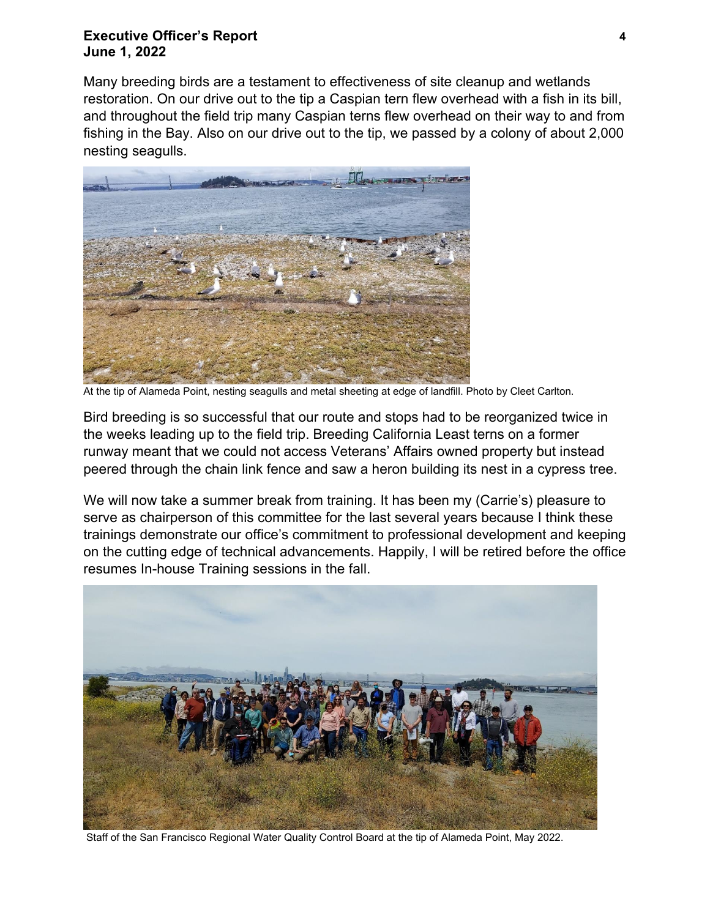#### **Executive Officer's Report 4 June 1, 2022**

Many breeding birds are a testament to effectiveness of site cleanup and wetlands restoration. On our drive out to the tip a Caspian tern flew overhead with a fish in its bill, and throughout the field trip many Caspian terns flew overhead on their way to and from fishing in the Bay. Also on our drive out to the tip, we passed by a colony of about 2,000 nesting seagulls.



At the tip of Alameda Point, nesting seagulls and metal sheeting at edge of landfill. Photo by Cleet Carlton.

Bird breeding is so successful that our route and stops had to be reorganized twice in the weeks leading up to the field trip. Breeding California Least terns on a former runway meant that we could not access Veterans' Affairs owned property but instead peered through the chain link fence and saw a heron building its nest in a cypress tree.

We will now take a summer break from training. It has been my (Carrie's) pleasure to serve as chairperson of this committee for the last several years because I think these trainings demonstrate our office's commitment to professional development and keeping on the cutting edge of technical advancements. Happily, I will be retired before the office resumes In-house Training sessions in the fall.



Staff of the San Francisco Regional Water Quality Control Board at the tip of Alameda Point, May 2022.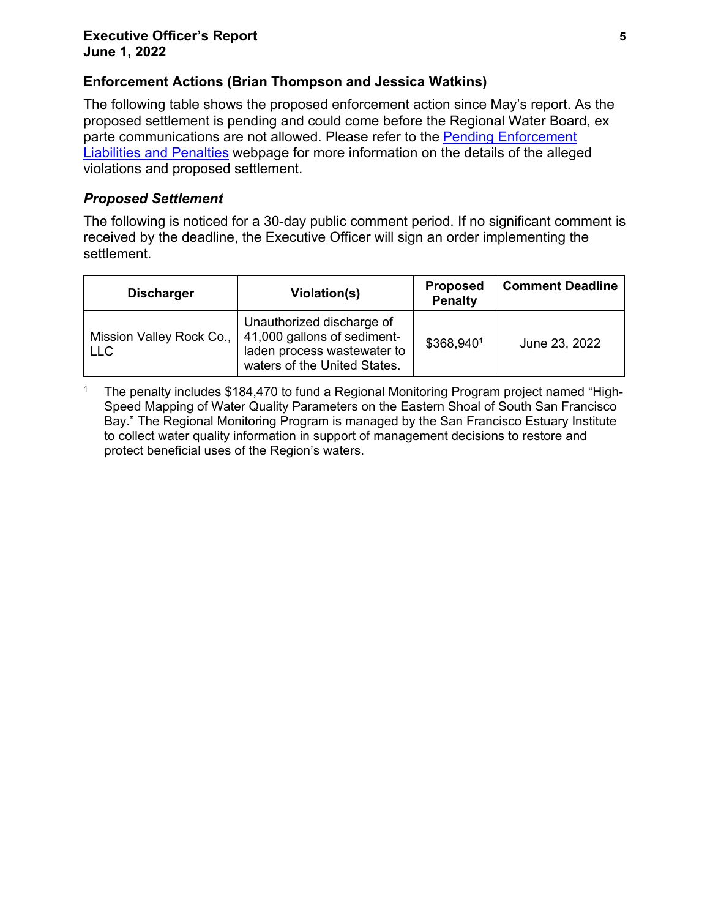## <span id="page-5-0"></span>**Enforcement Actions (Brian Thompson and Jessica Watkins)**

The following table shows the proposed enforcement action since May's report. As the proposed settlement is pending and could come before the Regional Water Board, ex parte communications are not allowed. Please refer to the [Pending Enforcement](http://www.waterboards.ca.gov/sanfranciscobay/public_notices/pending_enforcement.shtml)  [Liabilities and Penalties](http://www.waterboards.ca.gov/sanfranciscobay/public_notices/pending_enforcement.shtml) webpage for more information on the details of the alleged violations and proposed settlement.

### *Proposed Settlement*

The following is noticed for a 30-day public comment period. If no significant comment is received by the deadline, the Executive Officer will sign an order implementing the settlement.

| <b>Discharger</b> | Violation(s)                                                                                                                                       | <b>Proposed</b><br><b>Penalty</b> | <b>Comment Deadline</b> |
|-------------------|----------------------------------------------------------------------------------------------------------------------------------------------------|-----------------------------------|-------------------------|
| <b>LLC</b>        | Unauthorized discharge of<br>Mission Valley Rock Co.,   41,000 gallons of sediment-<br>laden process wastewater to<br>waters of the United States. | \$368,9401                        | June 23, 2022           |

<sup>1</sup> The penalty includes \$184,470 to fund a Regional Monitoring Program project named "High-Speed Mapping of Water Quality Parameters on the Eastern Shoal of South San Francisco Bay." The Regional Monitoring Program is managed by the San Francisco Estuary Institute to collect water quality information in support of management decisions to restore and protect beneficial uses of the Region's waters.